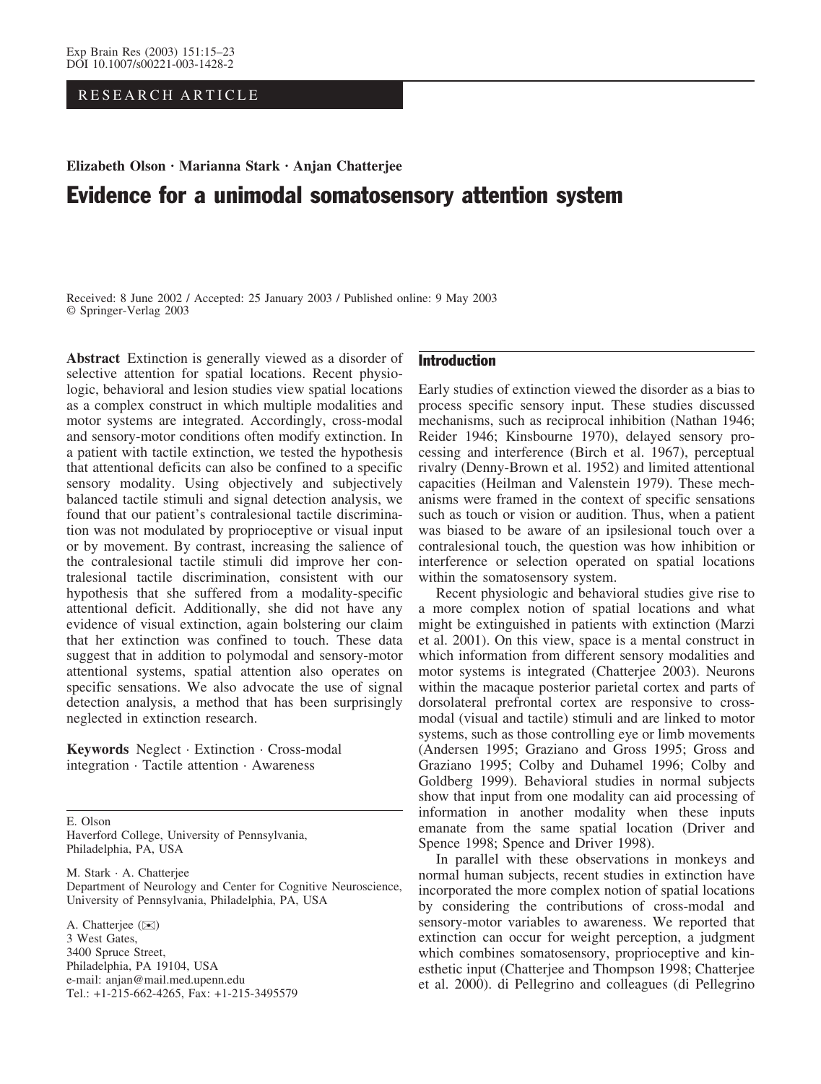RESEARCH ARTICLE

# Elizabeth Olson · Marianna Stark · Anjan Chatterjee Evidence for a unimodal somatosensory attention system

Received: 8 June 2002 / Accepted: 25 January 2003 / Published online: 9 May 2003 Springer-Verlag 2003

Abstract Extinction is generally viewed as a disorder of selective attention for spatial locations. Recent physiologic, behavioral and lesion studies view spatial locations as a complex construct in which multiple modalities and motor systems are integrated. Accordingly, cross-modal and sensory-motor conditions often modify extinction. In a patient with tactile extinction, we tested the hypothesis that attentional deficits can also be confined to a specific sensory modality. Using objectively and subjectively balanced tactile stimuli and signal detection analysis, we found that our patient's contralesional tactile discrimination was not modulated by proprioceptive or visual input or by movement. By contrast, increasing the salience of the contralesional tactile stimuli did improve her contralesional tactile discrimination, consistent with our hypothesis that she suffered from a modality-specific attentional deficit. Additionally, she did not have any evidence of visual extinction, again bolstering our claim that her extinction was confined to touch. These data suggest that in addition to polymodal and sensory-motor attentional systems, spatial attention also operates on specific sensations. We also advocate the use of signal detection analysis, a method that has been surprisingly neglected in extinction research.

Keywords Neglect · Extinction · Cross-modal integration · Tactile attention · Awareness

E. Olson Haverford College, University of Pennsylvania, Philadelphia, PA, USA

M. Stark · A. Chatterjee Department of Neurology and Center for Cognitive Neuroscience, University of Pennsylvania, Philadelphia, PA, USA

A. Chatteriee ( $\bowtie$ ) 3 West Gates, 3400 Spruce Street, Philadelphia, PA 19104, USA e-mail: anjan@mail.med.upenn.edu Tel.: +1-215-662-4265, Fax: +1-215-3495579

# Introduction

Early studies of extinction viewed the disorder as a bias to process specific sensory input. These studies discussed mechanisms, such as reciprocal inhibition (Nathan 1946; Reider 1946; Kinsbourne 1970), delayed sensory processing and interference (Birch et al. 1967), perceptual rivalry (Denny-Brown et al. 1952) and limited attentional capacities (Heilman and Valenstein 1979). These mechanisms were framed in the context of specific sensations such as touch or vision or audition. Thus, when a patient was biased to be aware of an ipsilesional touch over a contralesional touch, the question was how inhibition or interference or selection operated on spatial locations within the somatosensory system.

Recent physiologic and behavioral studies give rise to a more complex notion of spatial locations and what might be extinguished in patients with extinction (Marzi et al. 2001). On this view, space is a mental construct in which information from different sensory modalities and motor systems is integrated (Chatterjee 2003). Neurons within the macaque posterior parietal cortex and parts of dorsolateral prefrontal cortex are responsive to crossmodal (visual and tactile) stimuli and are linked to motor systems, such as those controlling eye or limb movements (Andersen 1995; Graziano and Gross 1995; Gross and Graziano 1995; Colby and Duhamel 1996; Colby and Goldberg 1999). Behavioral studies in normal subjects show that input from one modality can aid processing of information in another modality when these inputs emanate from the same spatial location (Driver and Spence 1998; Spence and Driver 1998).

In parallel with these observations in monkeys and normal human subjects, recent studies in extinction have incorporated the more complex notion of spatial locations by considering the contributions of cross-modal and sensory-motor variables to awareness. We reported that extinction can occur for weight perception, a judgment which combines somatosensory, proprioceptive and kinesthetic input (Chatterjee and Thompson 1998; Chatterjee et al. 2000). di Pellegrino and colleagues (di Pellegrino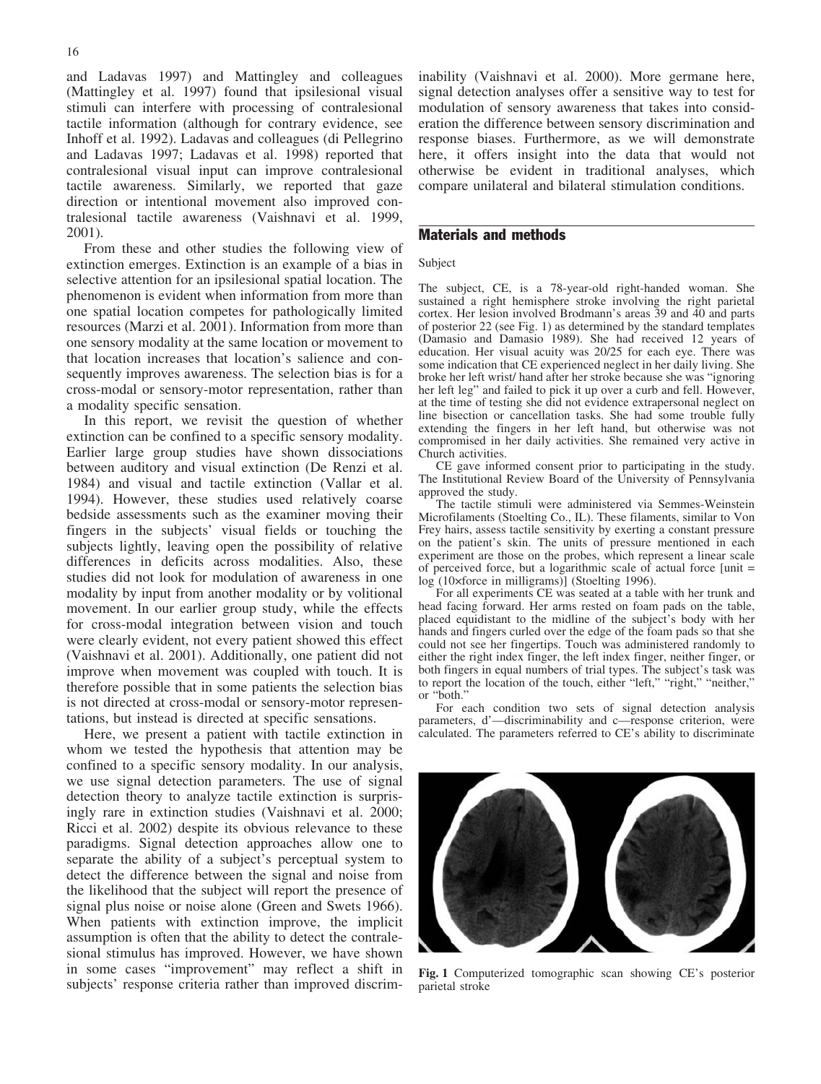and Ladavas 1997) and Mattingley and colleagues (Mattingley et al. 1997) found that ipsilesional visual stimuli can interfere with processing of contralesional tactile information (although for contrary evidence, see Inhoff et al. 1992). Ladavas and colleagues (di Pellegrino and Ladavas 1997; Ladavas et al. 1998) reported that contralesional visual input can improve contralesional tactile awareness. Similarly, we reported that gaze direction or intentional movement also improved contralesional tactile awareness (Vaishnavi et al. 1999, 2001).

From these and other studies the following view of extinction emerges. Extinction is an example of a bias in selective attention for an ipsilesional spatial location. The phenomenon is evident when information from more than one spatial location competes for pathologically limited resources (Marzi et al. 2001). Information from more than one sensory modality at the same location or movement to that location increases that location's salience and consequently improves awareness. The selection bias is for a cross-modal or sensory-motor representation, rather than a modality specific sensation.

In this report, we revisit the question of whether extinction can be confined to a specific sensory modality. Earlier large group studies have shown dissociations between auditory and visual extinction (De Renzi et al. 1984) and visual and tactile extinction (Vallar et al. 1994). However, these studies used relatively coarse bedside assessments such as the examiner moving their fingers in the subjects' visual fields or touching the subjects lightly, leaving open the possibility of relative differences in deficits across modalities. Also, these studies did not look for modulation of awareness in one modality by input from another modality or by volitional movement. In our earlier group study, while the effects for cross-modal integration between vision and touch were clearly evident, not every patient showed this effect (Vaishnavi et al. 2001). Additionally, one patient did not improve when movement was coupled with touch. It is therefore possible that in some patients the selection bias is not directed at cross-modal or sensory-motor representations, but instead is directed at specific sensations.

Here, we present a patient with tactile extinction in whom we tested the hypothesis that attention may be confined to a specific sensory modality. In our analysis, we use signal detection parameters. The use of signal detection theory to analyze tactile extinction is surprisingly rare in extinction studies (Vaishnavi et al. 2000; Ricci et al. 2002) despite its obvious relevance to these paradigms. Signal detection approaches allow one to separate the ability of a subject's perceptual system to detect the difference between the signal and noise from the likelihood that the subject will report the presence of signal plus noise or noise alone (Green and Swets 1966). When patients with extinction improve, the implicit assumption is often that the ability to detect the contralesional stimulus has improved. However, we have shown in some cases "improvement" may reflect a shift in subjects' response criteria rather than improved discriminability (Vaishnavi et al. 2000). More germane here, signal detection analyses offer a sensitive way to test for modulation of sensory awareness that takes into consideration the difference between sensory discrimination and response biases. Furthermore, as we will demonstrate here, it offers insight into the data that would not otherwise be evident in traditional analyses, which compare unilateral and bilateral stimulation conditions.

# Materials and methods

#### Subject

The subject, CE, is a 78-year-old right-handed woman. She sustained a right hemisphere stroke involving the right parietal cortex. Her lesion involved Brodmann's areas 39 and 40 and parts of posterior 22 (see Fig. 1) as determined by the standard templates (Damasio and Damasio 1989). She had received 12 years of education. Her visual acuity was 20/25 for each eye. There was some indication that CE experienced neglect in her daily living. She broke her left wrist/ hand after her stroke because she was "ignoring her left leg" and failed to pick it up over a curb and fell. However, at the time of testing she did not evidence extrapersonal neglect on line bisection or cancellation tasks. She had some trouble fully extending the fingers in her left hand, but otherwise was not compromised in her daily activities. She remained very active in Church activities.

CE gave informed consent prior to participating in the study. The Institutional Review Board of the University of Pennsylvania approved the study.

The tactile stimuli were administered via Semmes-Weinstein Microfilaments (Stoelting Co., IL). These filaments, similar to Von Frey hairs, assess tactile sensitivity by exerting a constant pressure on the patient's skin. The units of pressure mentioned in each experiment are those on the probes, which represent a linear scale of perceived force, but a logarithmic scale of actual force [unit = log (10×force in milligrams)] (Stoelting 1996).

For all experiments CE was seated at a table with her trunk and head facing forward. Her arms rested on foam pads on the table, placed equidistant to the midline of the subject's body with her hands and fingers curled over the edge of the foam pads so that she could not see her fingertips. Touch was administered randomly to either the right index finger, the left index finger, neither finger, or both fingers in equal numbers of trial types. The subject's task was to report the location of the touch, either "left," "right," "neither," or "both."

For each condition two sets of signal detection analysis parameters, d'—discriminability and c—response criterion, were calculated. The parameters referred to CE's ability to discriminate



Fig. 1 Computerized tomographic scan showing CE's posterior parietal stroke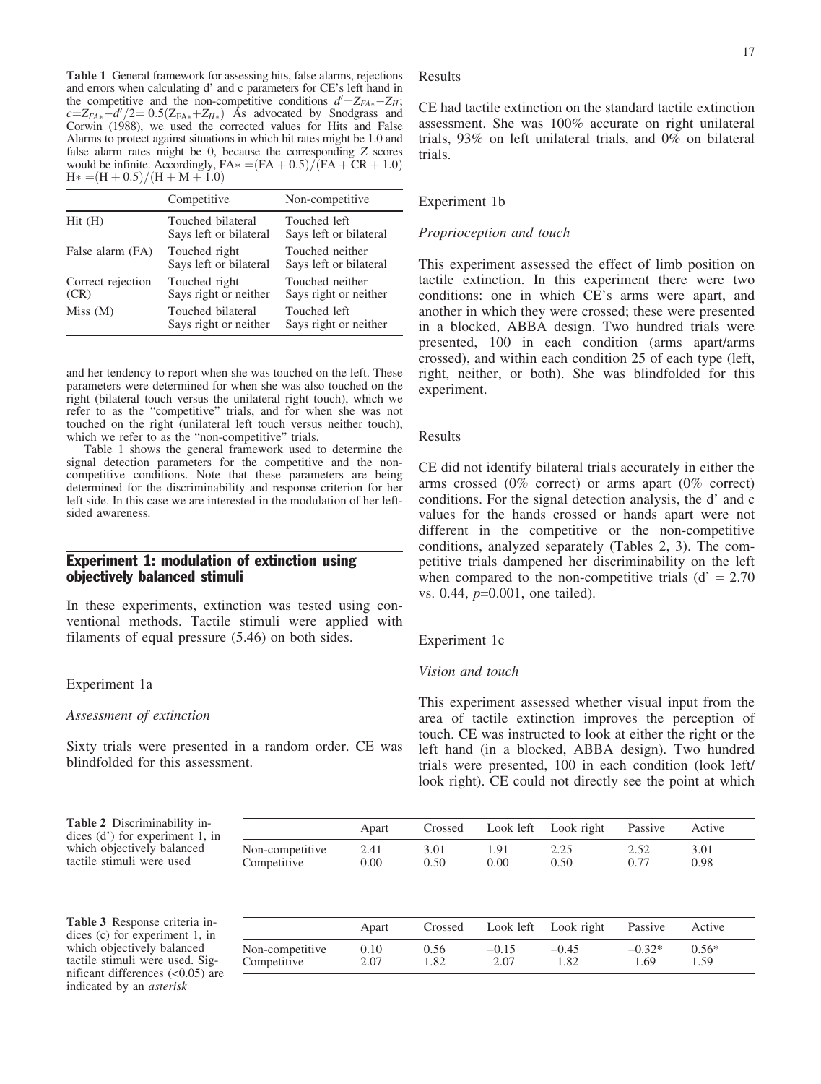Table 1 General framework for assessing hits, false alarms, rejections and errors when calculating d' and c parameters for CE's left hand in the competitive and the non-competitive conditions  $d' = Z_{FA*} - Z_H$ ;  $c=Z_{FA*}-d'/2=0.5(Z_{FA*}+Z_{H*})$  Ås advocated by Snodgrass and Corwin (1988), we used the corrected values for Hits and False Alarms to protect against situations in which hit rates might be 1.0 and false alarm rates might be 0, because the corresponding Z scores would be infinite. Accordingly,  $FA* = (FA + 0.5) / (FA + CR + 1.0)$  $H* = (H + 0.5) / (H + M + 1.0)$ 

|                           | Competitive                                 | Non-competitive                           |
|---------------------------|---------------------------------------------|-------------------------------------------|
| Hit(H)                    | Touched bilateral<br>Says left or bilateral | Touched left<br>Says left or bilateral    |
| False alarm (FA)          | Touched right<br>Says left or bilateral     | Touched neither<br>Says left or bilateral |
| Correct rejection<br>(CR) | Touched right<br>Says right or neither      | Touched neither<br>Says right or neither  |
| Miss(M)                   | Touched bilateral<br>Says right or neither  | Touched left<br>Says right or neither     |

and her tendency to report when she was touched on the left. These parameters were determined for when she was also touched on the right (bilateral touch versus the unilateral right touch), which we refer to as the "competitive" trials, and for when she was not touched on the right (unilateral left touch versus neither touch), which we refer to as the "non-competitive" trials.

Table 1 shows the general framework used to determine the signal detection parameters for the competitive and the noncompetitive conditions. Note that these parameters are being determined for the discriminability and response criterion for her left side. In this case we are interested in the modulation of her leftsided awareness.

# Experiment 1: modulation of extinction using objectively balanced stimuli

In these experiments, extinction was tested using conventional methods. Tactile stimuli were applied with filaments of equal pressure (5.46) on both sides.

## Experiment 1a

## Assessment of extinction

Sixty trials were presented in a random order. CE was blindfolded for this assessment.

Results

CE had tactile extinction on the standard tactile extinction assessment. She was 100% accurate on right unilateral trials, 93% on left unilateral trials, and 0% on bilateral trials.

#### Experiment 1b

## Proprioception and touch

This experiment assessed the effect of limb position on tactile extinction. In this experiment there were two conditions: one in which CE's arms were apart, and another in which they were crossed; these were presented in a blocked, ABBA design. Two hundred trials were presented, 100 in each condition (arms apart/arms crossed), and within each condition 25 of each type (left, right, neither, or both). She was blindfolded for this experiment.

#### Results

CE did not identify bilateral trials accurately in either the arms crossed (0% correct) or arms apart (0% correct) conditions. For the signal detection analysis, the d' and c values for the hands crossed or hands apart were not different in the competitive or the non-competitive conditions, analyzed separately (Tables 2, 3). The competitive trials dampened her discriminability on the left when compared to the non-competitive trials  $(d' = 2.70)$ vs. 0.44, p=0.001, one tailed).

#### Experiment 1c

#### Vision and touch

This experiment assessed whether visual input from the area of tactile extinction improves the perception of touch. CE was instructed to look at either the right or the left hand (in a blocked, ABBA design). Two hundred trials were presented, 100 in each condition (look left/ look right). CE could not directly see the point at which

Table 2 Discriminability indices (d') for experiment 1, in which objectively balanced tactile stimuli were used

|                 | Apart | Crossed |      | Look left Look right | Passive | Active |
|-----------------|-------|---------|------|----------------------|---------|--------|
| Non-competitive | 2.41  | 3.01    | 1.91 | 2.25                 | 2.52    | 3.01   |
| Competitive     | 0.00  | 0.50    | 0.00 | 0.50                 |         | 0.98   |

Table 3 Response criteria indices (c) for experiment 1, in which objectively balanced tactile stimuli were used. Significant differences (<0.05) are indicated by an asterisk

|                 | Apart | Crossed |         | Look left Look right | Passive  | Active  |
|-----------------|-------|---------|---------|----------------------|----------|---------|
| Non-competitive | 0.10  | 0.56    | $-0.15$ | $-0.45$              | $-0.32*$ | $0.56*$ |
| Competitive     | 2.07  | 1.82    | 2.07    | .82                  | 1.69     | 1.59    |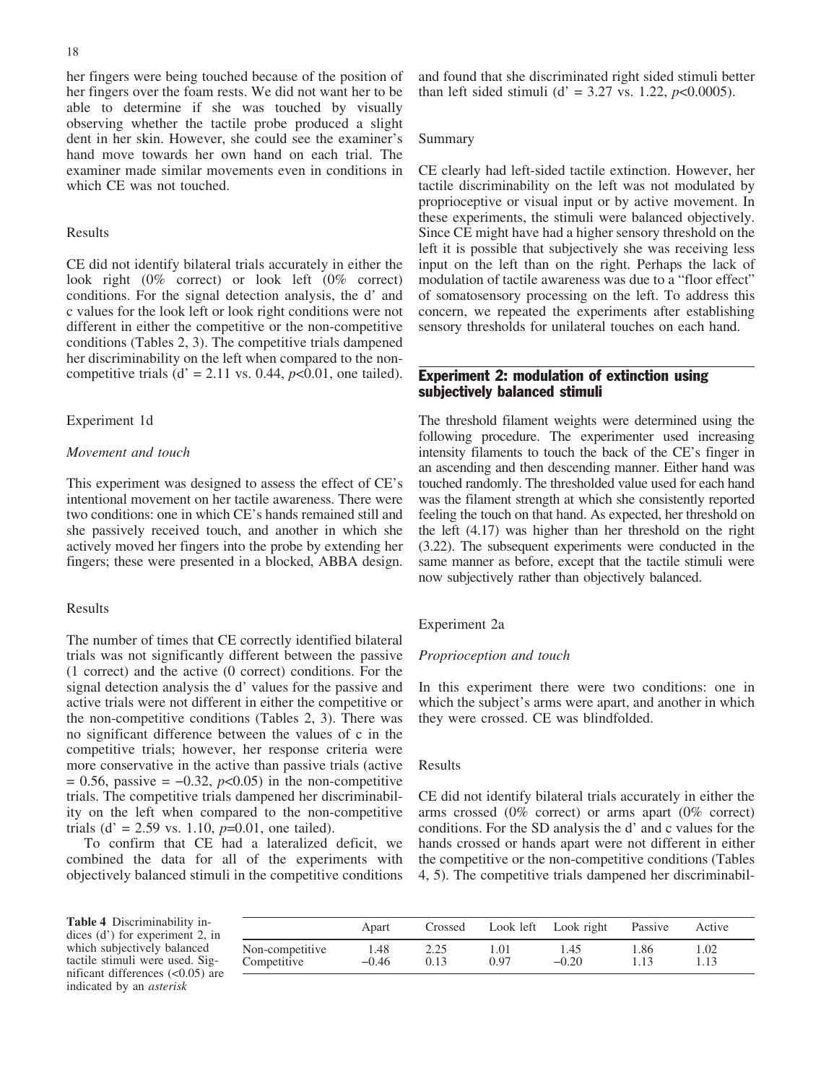her fingers were being touched because of the position of her fingers over the foam rests. We did not want her to be able to determine if she was touched by visually observing whether the tactile probe produced a slight dent in her skin. However, she could see the examiner's hand move towards her own hand on each trial. The examiner made similar movements even in conditions in which CE was not touched.

# Results

CE did not identify bilateral trials accurately in either the look right (0% correct) or look left (0% correct) conditions. For the signal detection analysis, the d' and c values for the look left or look right conditions were not different in either the competitive or the non-competitive conditions (Tables 2, 3). The competitive trials dampened her discriminability on the left when compared to the noncompetitive trials (d' = 2.11 vs. 0.44,  $p<0.01$ , one tailed).

## Experiment 1d

## Movement and touch

This experiment was designed to assess the effect of CE's intentional movement on her tactile awareness. There were two conditions: one in which CE's hands remained still and she passively received touch, and another in which she actively moved her fingers into the probe by extending her fingers; these were presented in a blocked, ABBA design.

# Results

The number of times that CE correctly identified bilateral trials was not significantly different between the passive (1 correct) and the active (0 correct) conditions. For the signal detection analysis the d' values for the passive and active trials were not different in either the competitive or the non-competitive conditions (Tables 2, 3). There was no significant difference between the values of c in the competitive trials; however, her response criteria were more conservative in the active than passive trials (active  $= 0.56$ , passive  $= -0.32$ ,  $p<0.05$ ) in the non-competitive trials. The competitive trials dampened her discriminability on the left when compared to the non-competitive trials (d' = 2.59 vs. 1.10,  $p=0.01$ , one tailed).

To confirm that CE had a lateralized deficit, we combined the data for all of the experiments with objectively balanced stimuli in the competitive conditions and found that she discriminated right sided stimuli better than left sided stimuli (d' = 3.27 vs. 1.22,  $p<0.0005$ ).

#### Summary

CE clearly had left-sided tactile extinction. However, her tactile discriminability on the left was not modulated by proprioceptive or visual input or by active movement. In these experiments, the stimuli were balanced objectively. Since CE might have had a higher sensory threshold on the left it is possible that subjectively she was receiving less input on the left than on the right. Perhaps the lack of modulation of tactile awareness was due to a "floor effect" of somatosensory processing on the left. To address this concern, we repeated the experiments after establishing sensory thresholds for unilateral touches on each hand.

# Experiment 2: modulation of extinction using subjectively balanced stimuli

The threshold filament weights were determined using the following procedure. The experimenter used increasing intensity filaments to touch the back of the CE's finger in an ascending and then descending manner. Either hand was touched randomly. The thresholded value used for each hand was the filament strength at which she consistently reported feeling the touch on that hand. As expected, her threshold on the left (4.17) was higher than her threshold on the right (3.22). The subsequent experiments were conducted in the same manner as before, except that the tactile stimuli were now subjectively rather than objectively balanced.

## Experiment 2a

#### Proprioception and touch

In this experiment there were two conditions: one in which the subject's arms were apart, and another in which they were crossed. CE was blindfolded.

## Results

CE did not identify bilateral trials accurately in either the arms crossed (0% correct) or arms apart (0% correct) conditions. For the SD analysis the d' and c values for the hands crossed or hands apart were not different in either the competitive or the non-competitive conditions (Tables 4, 5). The competitive trials dampened her discriminabil-

Table 4 Discriminability indices (d') for experiment 2, in which subjectively balanced tactile stimuli were used. Significant differences (<0.05) are indicated by an asterisk

|                 | Apart   | Crossed |      | Look left Look right | Passive | Active |
|-----------------|---------|---------|------|----------------------|---------|--------|
| Non-competitive | 1.48    | 2.25    | .01  | 1.45                 | 1.86    | 1.02   |
| Competitive     | $-0.46$ | 0.13    | 0.97 | $-0.20$              | 1.13    | 1.13   |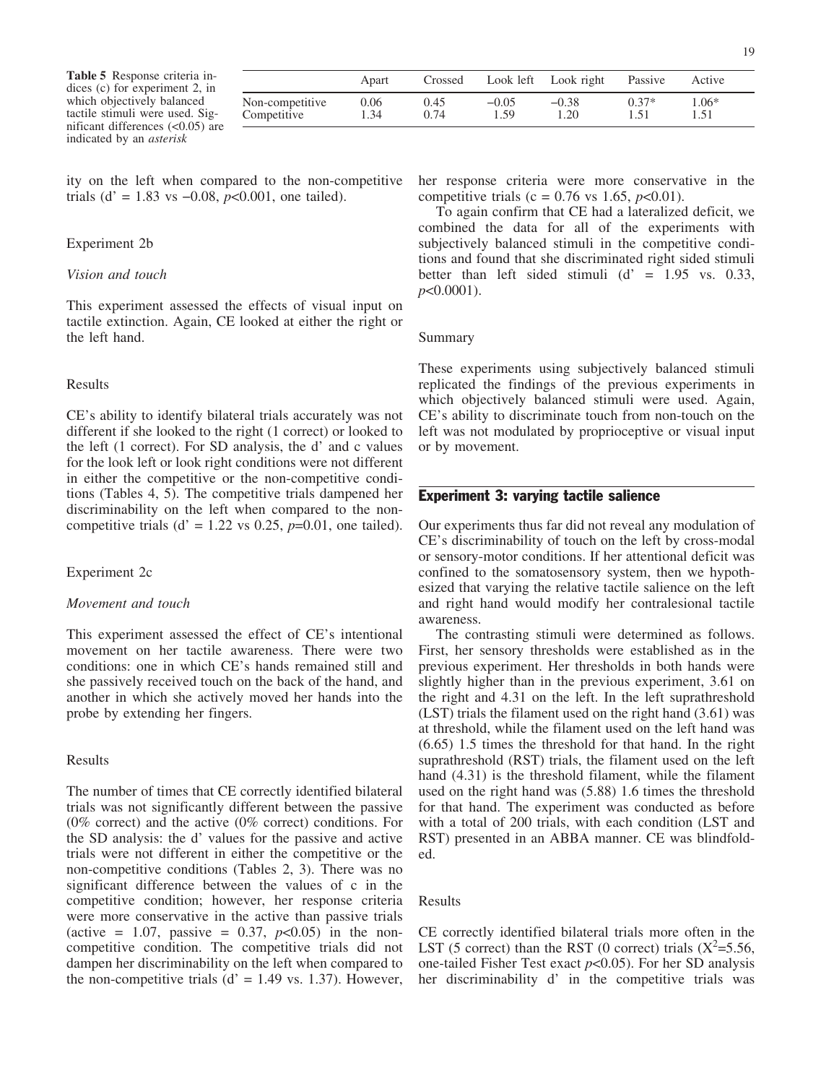Table 5 Response criteria indices (c) for experiment 2, in which objectively balanced tactile stimuli were used. Significant differences (<0.05) are indicated by an asterisk

|                                | Apart        | Crossed      | Look left       | Look right      | Passive | Active  |
|--------------------------------|--------------|--------------|-----------------|-----------------|---------|---------|
| Non-competitive<br>Competitive | 0.06<br>1.34 | 0.45<br>0.74 | $-0.05$<br>1.59 | $-0.38$<br>1.20 | $0.37*$ | $1.06*$ |

ity on the left when compared to the non-competitive trials (d' = 1.83 vs -0.08,  $p$ <0.001, one tailed).

## Experiment 2b

#### Vision and touch

This experiment assessed the effects of visual input on tactile extinction. Again, CE looked at either the right or the left hand.

## Results

CE's ability to identify bilateral trials accurately was not different if she looked to the right (1 correct) or looked to the left (1 correct). For SD analysis, the d' and c values for the look left or look right conditions were not different in either the competitive or the non-competitive conditions (Tables 4, 5). The competitive trials dampened her discriminability on the left when compared to the noncompetitive trials (d' = 1.22 vs 0.25,  $p=0.01$ , one tailed).

Experiment 2c

#### Movement and touch

This experiment assessed the effect of CE's intentional movement on her tactile awareness. There were two conditions: one in which CE's hands remained still and she passively received touch on the back of the hand, and another in which she actively moved her hands into the probe by extending her fingers.

## Results

The number of times that CE correctly identified bilateral trials was not significantly different between the passive (0% correct) and the active (0% correct) conditions. For the SD analysis: the d' values for the passive and active trials were not different in either the competitive or the non-competitive conditions (Tables 2, 3). There was no significant difference between the values of c in the competitive condition; however, her response criteria were more conservative in the active than passive trials (active = 1.07, passive = 0.37,  $p<0.05$ ) in the noncompetitive condition. The competitive trials did not dampen her discriminability on the left when compared to the non-competitive trials ( $d' = 1.49$  vs. 1.37). However, her response criteria were more conservative in the competitive trials (c =  $0.76$  vs 1.65,  $p<0.01$ ).

To again confirm that CE had a lateralized deficit, we combined the data for all of the experiments with subjectively balanced stimuli in the competitive conditions and found that she discriminated right sided stimuli better than left sided stimuli  $(d' = 1.95 \text{ vs. } 0.33,$  $p<0.0001$ ).

#### Summary

These experiments using subjectively balanced stimuli replicated the findings of the previous experiments in which objectively balanced stimuli were used. Again, CE's ability to discriminate touch from non-touch on the left was not modulated by proprioceptive or visual input or by movement.

# Experiment 3: varying tactile salience

Our experiments thus far did not reveal any modulation of CE's discriminability of touch on the left by cross-modal or sensory-motor conditions. If her attentional deficit was confined to the somatosensory system, then we hypothesized that varying the relative tactile salience on the left and right hand would modify her contralesional tactile awareness.

The contrasting stimuli were determined as follows. First, her sensory thresholds were established as in the previous experiment. Her thresholds in both hands were slightly higher than in the previous experiment, 3.61 on the right and 4.31 on the left. In the left suprathreshold (LST) trials the filament used on the right hand (3.61) was at threshold, while the filament used on the left hand was (6.65) 1.5 times the threshold for that hand. In the right suprathreshold (RST) trials, the filament used on the left hand (4.31) is the threshold filament, while the filament used on the right hand was (5.88) 1.6 times the threshold for that hand. The experiment was conducted as before with a total of 200 trials, with each condition (LST and RST) presented in an ABBA manner. CE was blindfolded.

#### Results

CE correctly identified bilateral trials more often in the LST (5 correct) than the RST (0 correct) trials  $(X^2=5.56,$ one-tailed Fisher Test exact  $p<0.05$ ). For her SD analysis her discriminability d' in the competitive trials was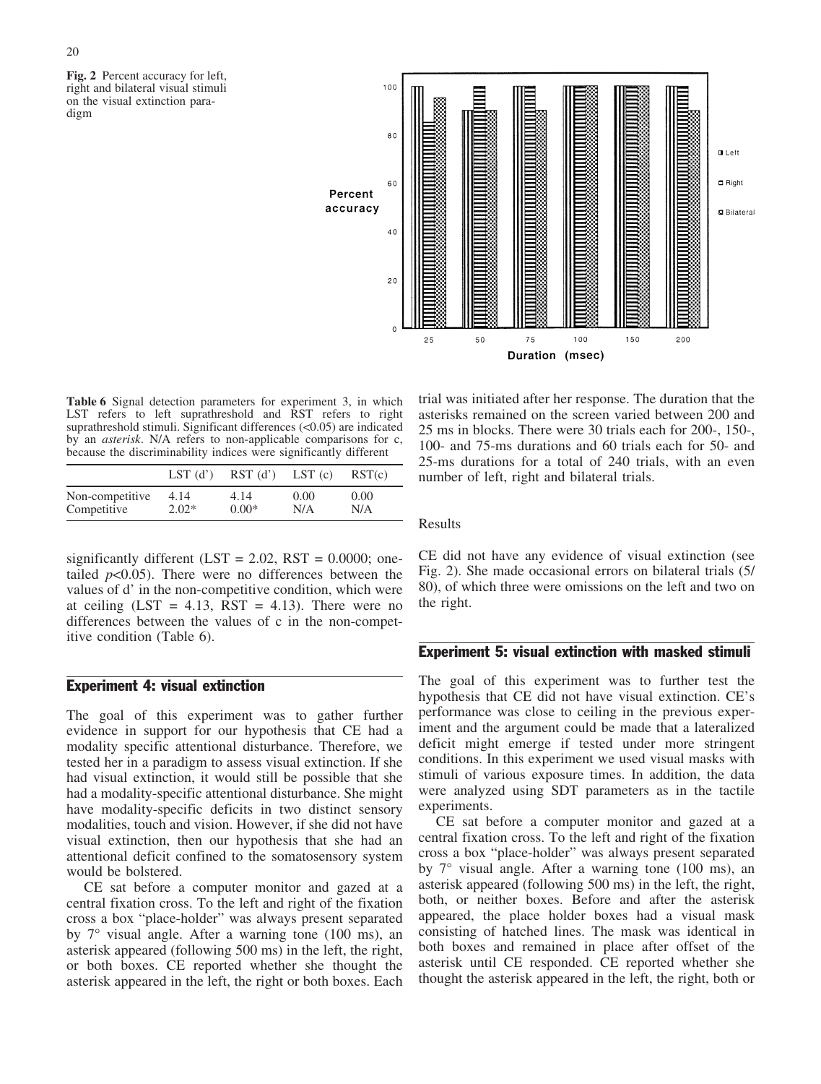Fig. 2 Percent accuracy for left, right and bilateral visual stimuli on the visual extinction paradigm



Table 6 Signal detection parameters for experiment 3, in which LST refers to left suprathreshold and RST refers to right suprathreshold stimuli. Significant differences (<0.05) are indicated by an asterisk. N/A refers to non-applicable comparisons for c, because the discriminability indices were significantly different

|                 | $LST$ (d') | $RST$ (d') | LST(c) | RST(c) |
|-----------------|------------|------------|--------|--------|
| Non-competitive | 4.14       | 4.14       | 0.00   | 0.00   |
| Competitive     | $2.02*$    | $0.00*$    | N/A    | N/A    |

significantly different (LST =  $2.02$ , RST =  $0.0000$ ; onetailed  $p<0.05$ ). There were no differences between the values of d' in the non-competitive condition, which were at ceiling  $(LST = 4.13, RST = 4.13)$ . There were no differences between the values of c in the non-competitive condition (Table 6).

## Experiment 4: visual extinction

The goal of this experiment was to gather further evidence in support for our hypothesis that CE had a modality specific attentional disturbance. Therefore, we tested her in a paradigm to assess visual extinction. If she had visual extinction, it would still be possible that she had a modality-specific attentional disturbance. She might have modality-specific deficits in two distinct sensory modalities, touch and vision. However, if she did not have visual extinction, then our hypothesis that she had an attentional deficit confined to the somatosensory system would be bolstered.

CE sat before a computer monitor and gazed at a central fixation cross. To the left and right of the fixation cross a box "place-holder" was always present separated by  $7^{\circ}$  visual angle. After a warning tone (100 ms), an asterisk appeared (following 500 ms) in the left, the right, or both boxes. CE reported whether she thought the asterisk appeared in the left, the right or both boxes. Each

trial was initiated after her response. The duration that the asterisks remained on the screen varied between 200 and 25 ms in blocks. There were 30 trials each for 200-, 150-, 100- and 75-ms durations and 60 trials each for 50- and 25-ms durations for a total of 240 trials, with an even number of left, right and bilateral trials.

Results

CE did not have any evidence of visual extinction (see Fig. 2). She made occasional errors on bilateral trials (5/ 80), of which three were omissions on the left and two on the right.

# Experiment 5: visual extinction with masked stimuli

The goal of this experiment was to further test the hypothesis that CE did not have visual extinction. CE's performance was close to ceiling in the previous experiment and the argument could be made that a lateralized deficit might emerge if tested under more stringent conditions. In this experiment we used visual masks with stimuli of various exposure times. In addition, the data were analyzed using SDT parameters as in the tactile experiments.

CE sat before a computer monitor and gazed at a central fixation cross. To the left and right of the fixation cross a box "place-holder" was always present separated by  $7^{\circ}$  visual angle. After a warning tone (100 ms), an asterisk appeared (following 500 ms) in the left, the right, both, or neither boxes. Before and after the asterisk appeared, the place holder boxes had a visual mask consisting of hatched lines. The mask was identical in both boxes and remained in place after offset of the asterisk until CE responded. CE reported whether she thought the asterisk appeared in the left, the right, both or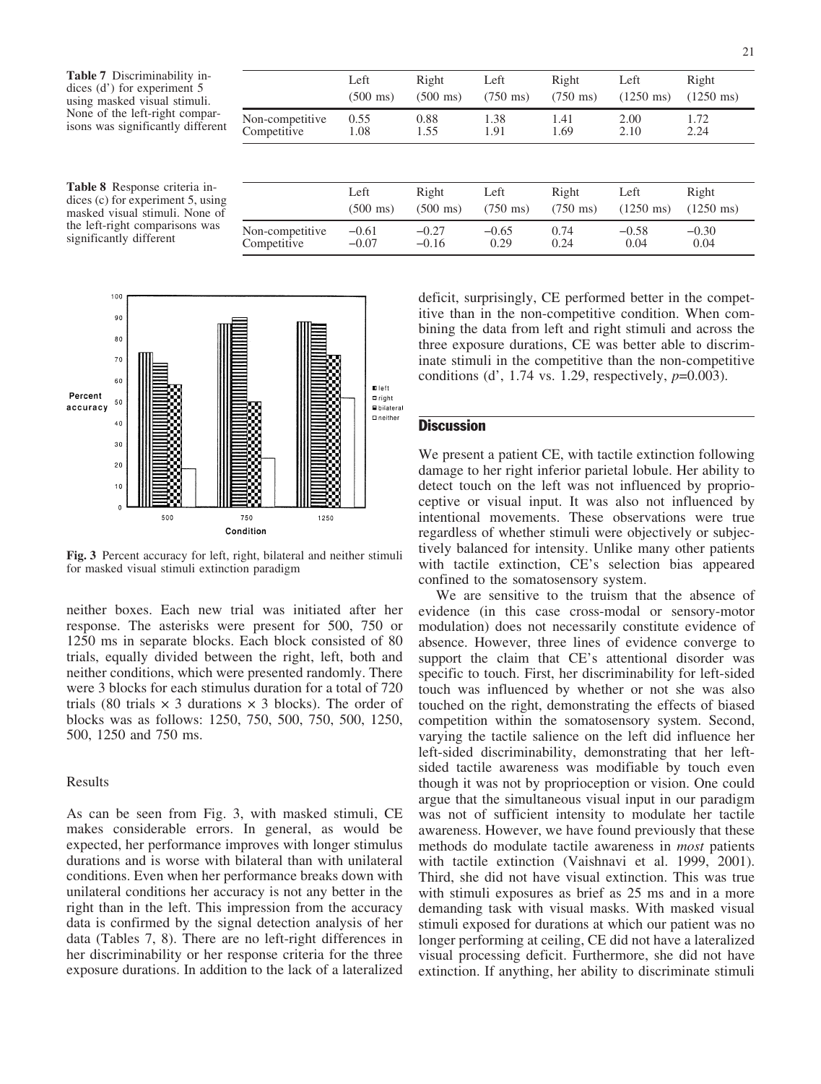Table 7 Discriminability indices (d') for experiment 5 using masked visual stimuli. None of the left-right comparisons was significantly different

|                                                                                                                                | $(1250 \text{ ms})$ |
|--------------------------------------------------------------------------------------------------------------------------------|---------------------|
| 0.88<br>1.38<br>Non-competitive<br>0.55<br>2.00<br>1.72<br>1.41<br>Competitive<br>2.24<br>1.55<br>1.91<br>1.69<br>2.10<br>1.08 |                     |

Table 8 Response criteria indices (c) for experiment 5, using masked visual stimuli. None of the left-right comparisons was significantly different

|                 | Left               | Right              | Left               | Right              | Left                | Right               |
|-----------------|--------------------|--------------------|--------------------|--------------------|---------------------|---------------------|
|                 | $(500 \text{ ms})$ | $(500 \text{ ms})$ | $(750 \text{ ms})$ | $(750 \text{ ms})$ | $(1250 \text{ ms})$ | $(1250 \text{ ms})$ |
| Non-competitive | $-0.61$            | $-0.27$            | $-0.65$            | 0.74               | $-0.58$             | $-0.30$             |
| Competitive     | $-0.07$            | $-0.16$            | 0.29               | 0.24               | 0.04                | 0.04                |



Fig. 3 Percent accuracy for left, right, bilateral and neither stimuli for masked visual stimuli extinction paradigm

neither boxes. Each new trial was initiated after her response. The asterisks were present for 500, 750 or 1250 ms in separate blocks. Each block consisted of 80 trials, equally divided between the right, left, both and neither conditions, which were presented randomly. There were 3 blocks for each stimulus duration for a total of 720 trials (80 trials  $\times$  3 durations  $\times$  3 blocks). The order of blocks was as follows: 1250, 750, 500, 750, 500, 1250, 500, 1250 and 750 ms.

## Results

As can be seen from Fig. 3, with masked stimuli, CE makes considerable errors. In general, as would be expected, her performance improves with longer stimulus durations and is worse with bilateral than with unilateral conditions. Even when her performance breaks down with unilateral conditions her accuracy is not any better in the right than in the left. This impression from the accuracy data is confirmed by the signal detection analysis of her data (Tables 7, 8). There are no left-right differences in her discriminability or her response criteria for the three exposure durations. In addition to the lack of a lateralized

deficit, surprisingly, CE performed better in the competitive than in the non-competitive condition. When combining the data from left and right stimuli and across the three exposure durations, CE was better able to discriminate stimuli in the competitive than the non-competitive conditions (d', 1.74 vs. 1.29, respectively,  $p=0.003$ ).

# **Discussion**

We present a patient CE, with tactile extinction following damage to her right inferior parietal lobule. Her ability to detect touch on the left was not influenced by proprioceptive or visual input. It was also not influenced by intentional movements. These observations were true regardless of whether stimuli were objectively or subjectively balanced for intensity. Unlike many other patients with tactile extinction, CE's selection bias appeared confined to the somatosensory system.

We are sensitive to the truism that the absence of evidence (in this case cross-modal or sensory-motor modulation) does not necessarily constitute evidence of absence. However, three lines of evidence converge to support the claim that CE's attentional disorder was specific to touch. First, her discriminability for left-sided touch was influenced by whether or not she was also touched on the right, demonstrating the effects of biased competition within the somatosensory system. Second, varying the tactile salience on the left did influence her left-sided discriminability, demonstrating that her leftsided tactile awareness was modifiable by touch even though it was not by proprioception or vision. One could argue that the simultaneous visual input in our paradigm was not of sufficient intensity to modulate her tactile awareness. However, we have found previously that these methods do modulate tactile awareness in most patients with tactile extinction (Vaishnavi et al. 1999, 2001). Third, she did not have visual extinction. This was true with stimuli exposures as brief as 25 ms and in a more demanding task with visual masks. With masked visual stimuli exposed for durations at which our patient was no longer performing at ceiling, CE did not have a lateralized visual processing deficit. Furthermore, she did not have extinction. If anything, her ability to discriminate stimuli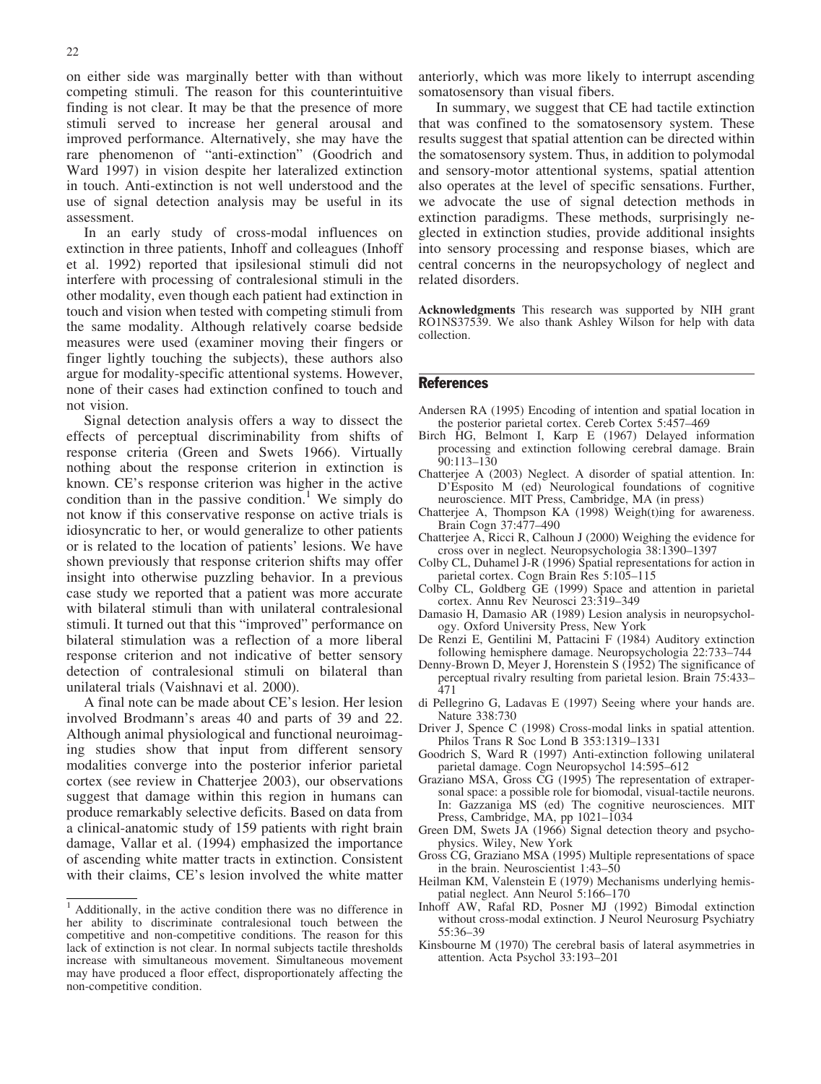on either side was marginally better with than without competing stimuli. The reason for this counterintuitive finding is not clear. It may be that the presence of more stimuli served to increase her general arousal and improved performance. Alternatively, she may have the rare phenomenon of "anti-extinction" (Goodrich and Ward 1997) in vision despite her lateralized extinction in touch. Anti-extinction is not well understood and the use of signal detection analysis may be useful in its assessment.

In an early study of cross-modal influences on extinction in three patients, Inhoff and colleagues (Inhoff et al. 1992) reported that ipsilesional stimuli did not interfere with processing of contralesional stimuli in the other modality, even though each patient had extinction in touch and vision when tested with competing stimuli from the same modality. Although relatively coarse bedside measures were used (examiner moving their fingers or finger lightly touching the subjects), these authors also argue for modality-specific attentional systems. However, none of their cases had extinction confined to touch and not vision.

Signal detection analysis offers a way to dissect the effects of perceptual discriminability from shifts of response criteria (Green and Swets 1966). Virtually nothing about the response criterion in extinction is known. CE's response criterion was higher in the active condition than in the passive condition.<sup>1</sup> We simply do not know if this conservative response on active trials is idiosyncratic to her, or would generalize to other patients or is related to the location of patients' lesions. We have shown previously that response criterion shifts may offer insight into otherwise puzzling behavior. In a previous case study we reported that a patient was more accurate with bilateral stimuli than with unilateral contralesional stimuli. It turned out that this "improved" performance on bilateral stimulation was a reflection of a more liberal response criterion and not indicative of better sensory detection of contralesional stimuli on bilateral than unilateral trials (Vaishnavi et al. 2000).

A final note can be made about CE's lesion. Her lesion involved Brodmann's areas 40 and parts of 39 and 22. Although animal physiological and functional neuroimaging studies show that input from different sensory modalities converge into the posterior inferior parietal cortex (see review in Chatterjee 2003), our observations suggest that damage within this region in humans can produce remarkably selective deficits. Based on data from a clinical-anatomic study of 159 patients with right brain damage, Vallar et al. (1994) emphasized the importance of ascending white matter tracts in extinction. Consistent with their claims, CE's lesion involved the white matter anteriorly, which was more likely to interrupt ascending somatosensory than visual fibers.

In summary, we suggest that CE had tactile extinction that was confined to the somatosensory system. These results suggest that spatial attention can be directed within the somatosensory system. Thus, in addition to polymodal and sensory-motor attentional systems, spatial attention also operates at the level of specific sensations. Further, we advocate the use of signal detection methods in extinction paradigms. These methods, surprisingly neglected in extinction studies, provide additional insights into sensory processing and response biases, which are central concerns in the neuropsychology of neglect and related disorders.

Acknowledgments This research was supported by NIH grant RO1NS37539. We also thank Ashley Wilson for help with data collection.

#### References

- Andersen RA (1995) Encoding of intention and spatial location in the posterior parietal cortex. Cereb Cortex 5:457–469
- Birch HG, Belmont I, Karp E (1967) Delayed information processing and extinction following cerebral damage. Brain 90:113–130
- Chatterjee A (2003) Neglect. A disorder of spatial attention. In: D'Esposito M (ed) Neurological foundations of cognitive neuroscience. MIT Press, Cambridge, MA (in press)
- Chatterjee A, Thompson KA (1998) Weigh(t)ing for awareness. Brain Cogn 37:477–490
- Chatterjee A, Ricci R, Calhoun J (2000) Weighing the evidence for cross over in neglect. Neuropsychologia 38:1390–1397
- Colby CL, Duhamel J-R (1996) Spatial representations for action in parietal cortex. Cogn Brain Res 5:105–115
- Colby CL, Goldberg GE (1999) Space and attention in parietal cortex. Annu Rev Neurosci 23:319–349
- Damasio H, Damasio AR (1989) Lesion analysis in neuropsychology. Oxford University Press, New York
- De Renzi E, Gentilini M, Pattacini F (1984) Auditory extinction following hemisphere damage. Neuropsychologia 22:733–744
- Denny-Brown D, Meyer J, Horenstein S (1952) The significance of perceptual rivalry resulting from parietal lesion. Brain 75:433– 471
- di Pellegrino G, Ladavas E (1997) Seeing where your hands are. Nature 338:730
- Driver J, Spence C (1998) Cross-modal links in spatial attention. Philos Trans R Soc Lond B 353:1319–1331
- Goodrich S, Ward R (1997) Anti-extinction following unilateral parietal damage. Cogn Neuropsychol 14:595–612
- Graziano MSA, Gross CG (1995) The representation of extrapersonal space: a possible role for biomodal, visual-tactile neurons. In: Gazzaniga MS (ed) The cognitive neurosciences. MIT Press, Cambridge, MA, pp 1021–1034
- Green DM, Swets JA (1966) Signal detection theory and psychophysics. Wiley, New York
- Gross CG, Graziano MSA (1995) Multiple representations of space in the brain. Neuroscientist 1:43–50
- Heilman KM, Valenstein E (1979) Mechanisms underlying hemispatial neglect. Ann Neurol 5:166–170
- Inhoff AW, Rafal RD, Posner MJ (1992) Bimodal extinction without cross-modal extinction. J Neurol Neurosurg Psychiatry 55:36–39
- Kinsbourne M (1970) The cerebral basis of lateral asymmetries in attention. Acta Psychol 33:193–201

<sup>1</sup> Additionally, in the active condition there was no difference in her ability to discriminate contralesional touch between the competitive and non-competitive conditions. The reason for this lack of extinction is not clear. In normal subjects tactile thresholds increase with simultaneous movement. Simultaneous movement may have produced a floor effect, disproportionately affecting the non-competitive condition.